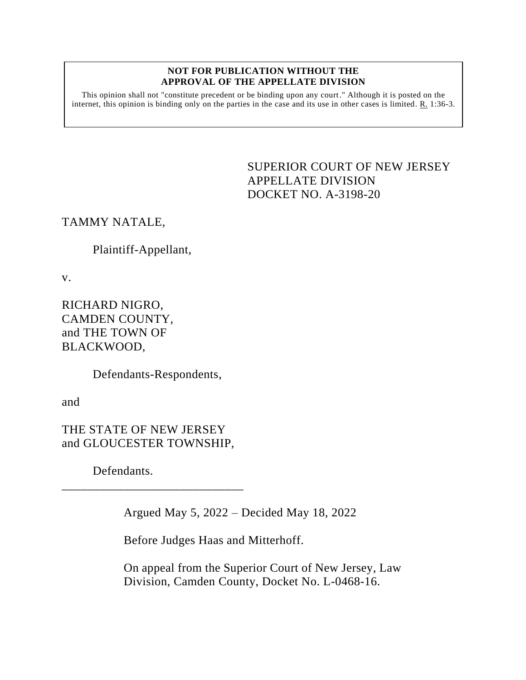#### **NOT FOR PUBLICATION WITHOUT THE APPROVAL OF THE APPELLATE DIVISION**

This opinion shall not "constitute precedent or be binding upon any court." Although it is posted on the internet, this opinion is binding only on the parties in the case and its use in other cases is limited. R. 1:36-3.

# <span id="page-0-0"></span>SUPERIOR COURT OF NEW JERSEY APPELLATE DIVISION DOCKET NO. A-3198-20

TAMMY NATALE,

### Plaintiff-Appellant,

v.

RICHARD NIGRO, CAMDEN COUNTY, and THE TOWN OF BLACKWOOD,

Defendants-Respondents,

and

THE STATE OF NEW JERSEY and GLOUCESTER TOWNSHIP,

\_\_\_\_\_\_\_\_\_\_\_\_\_\_\_\_\_\_\_\_\_\_\_\_\_\_\_\_\_

Defendants.

Argued May 5, 2022 – Decided May 18, 2022

Before Judges Haas and Mitterhoff.

On appeal from the Superior Court of New Jersey, Law Division, Camden County, Docket No. L-0468-16.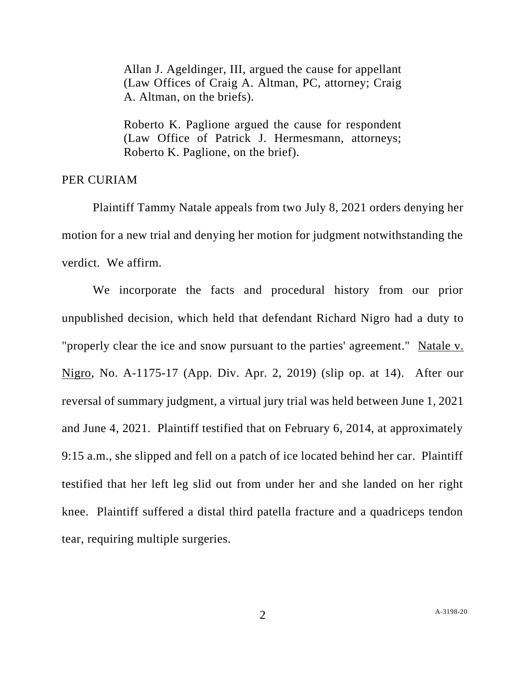Allan J. Ageldinger, III, argued the cause for appellant (Law Offices of Craig A. Altman, PC, attorney; Craig A. Altman, on the briefs).

Roberto K. Paglione argued the cause for respondent (Law Office of Patrick J. Hermesmann, attorneys; Roberto K. Paglione, on the brief).

### PER CURIAM

Plaintiff Tammy Natale appeals from two July 8, 2021 orders denying her motion for a new trial and denying her motion for judgment notwithstanding the verdict. We affirm.

We incorporate the facts and procedural history from our prior unpublished decision, which held that defendant Richard Nigro had a duty to "properly clear the ice and snow pursuant to the parties' agreement." Natale v. Nigro, No. A-1175-17 (App. Div. Apr. 2, 2019) (slip op. at 14). After our reversal of summary judgment, a virtual jury trial was held between June 1, 2021 and June 4, 2021. Plaintiff testified that on February 6, 2014, at approximately 9:15 a.m., she slipped and fell on a patch of ice located behind her car. Plaintiff testified that her left leg slid out from under her and she landed on her right knee. Plaintiff suffered a distal third patella fracture and a quadriceps tendon tear, requiring multiple surgeries.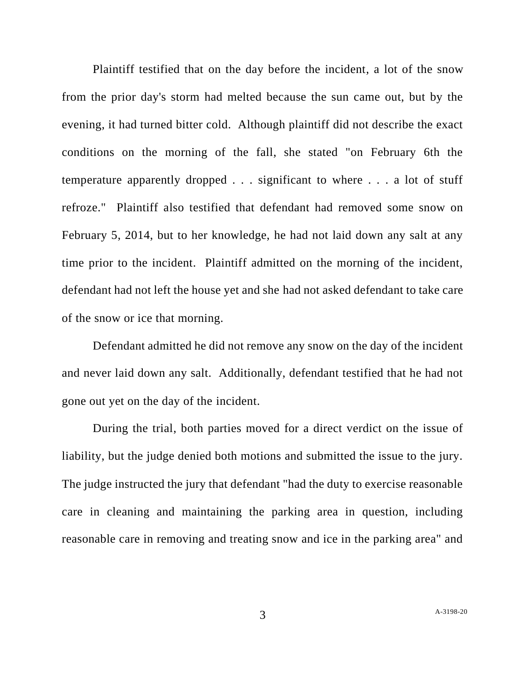Plaintiff testified that on the day before the incident, a lot of the snow from the prior day's storm had melted because the sun came out, but by the evening, it had turned bitter cold. Although plaintiff did not describe the exact conditions on the morning of the fall, she stated "on February 6th the temperature apparently dropped . . . significant to where . . . a lot of stuff refroze." Plaintiff also testified that defendant had removed some snow on February 5, 2014, but to her knowledge, he had not laid down any salt at any time prior to the incident. Plaintiff admitted on the morning of the incident, defendant had not left the house yet and she had not asked defendant to take care of the snow or ice that morning.

Defendant admitted he did not remove any snow on the day of the incident and never laid down any salt. Additionally, defendant testified that he had not gone out yet on the day of the incident.

During the trial, both parties moved for a direct verdict on the issue of liability, but the judge denied both motions and submitted the issue to the jury. The judge instructed the jury that defendant "had the duty to exercise reasonable care in cleaning and maintaining the parking area in question, including reasonable care in removing and treating snow and ice in the parking area" and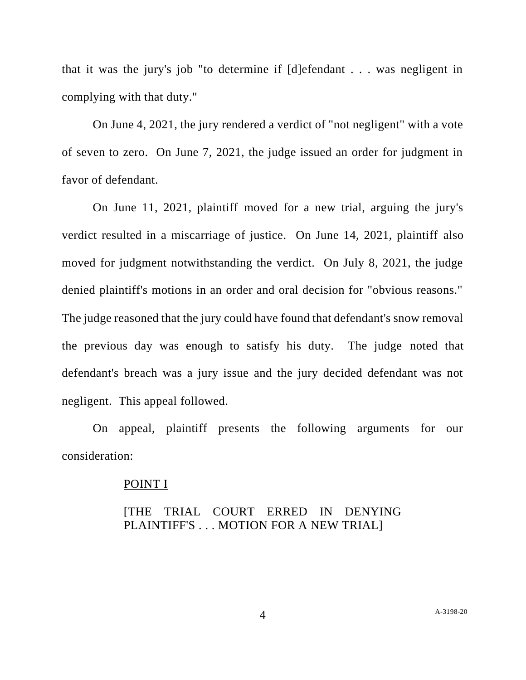that it was the jury's job "to determine if [d]efendant . . . was negligent in complying with that duty."

On June 4, 2021, the jury rendered a verdict of "not negligent" with a vote of seven to zero. On June 7, 2021, the judge issued an order for judgment in favor of defendant.

On June 11, 2021, plaintiff moved for a new trial, arguing the jury's verdict resulted in a miscarriage of justice. On June 14, 2021, plaintiff also moved for judgment notwithstanding the verdict. On July 8, 2021, the judge denied plaintiff's motions in an order and oral decision for "obvious reasons." The judge reasoned that the jury could have found that defendant's snow removal the previous day was enough to satisfy his duty. The judge noted that defendant's breach was a jury issue and the jury decided defendant was not negligent. This appeal followed.

On appeal, plaintiff presents the following arguments for our consideration:

### POINT I

### [THE TRIAL COURT ERRED IN DENYING PLAINTIFF'S . . . MOTION FOR A NEW TRIAL]

4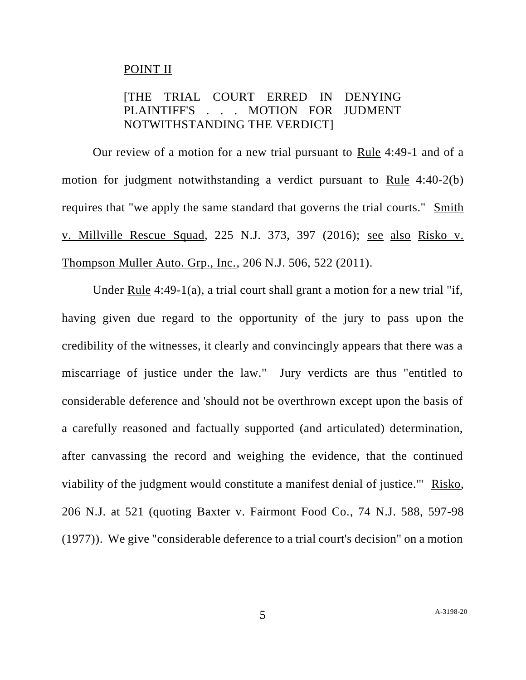### POINT II

# [THE TRIAL COURT ERRED IN DENYING PLAINTIFF'S . . . MOTION FOR JUDMENT NOTWITHSTANDING THE VERDICT]

Our review of a motion for a new trial pursuant to Rule 4:49-1 and of a motion for judgment notwithstanding a verdict pursuant to Rule 4:40-2(b) requires that "we apply the same standard that governs the trial courts." Smith v. Millville Rescue Squad, 225 N.J. 373, 397 (2016); see also Risko v. Thompson Muller Auto. Grp., Inc., 206 N.J. 506, 522 (2011).

Under Rule 4:49-1(a), a trial court shall grant a motion for a new trial "if, having given due regard to the opportunity of the jury to pass upon the credibility of the witnesses, it clearly and convincingly appears that there was a miscarriage of justice under the law." Jury verdicts are thus "entitled to considerable deference and 'should not be overthrown except upon the basis of a carefully reasoned and factually supported (and articulated) determination, after canvassing the record and weighing the evidence, that the continued viability of the judgment would constitute a manifest denial of justice.'" Risko, 206 N.J. at 521 (quoting Baxter v. Fairmont Food Co., 74 N.J. 588, 597-98 (1977)). We give "considerable deference to a trial court's decision" on a motion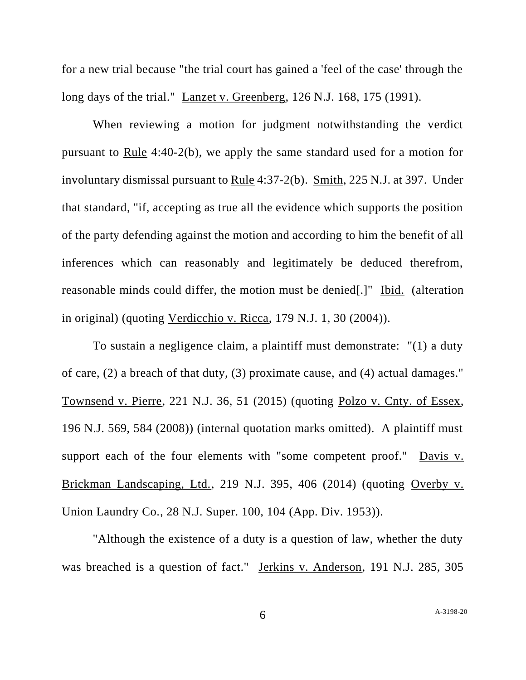for a new trial because "the trial court has gained a 'feel of the case' through the long days of the trial." Lanzet v. Greenberg, 126 N.J. 168, 175 (1991).

When reviewing a motion for judgment notwithstanding the verdict pursuant to Rule 4:40-2(b), we apply the same standard used for a motion for involuntary dismissal pursuant to Rule 4:37-2(b). Smith, 225 N.J. at 397. Under that standard, "if, accepting as true all the evidence which supports the position of the party defending against the motion and according to him the benefit of all inferences which can reasonably and legitimately be deduced therefrom, reasonable minds could differ, the motion must be denied[.]" Ibid. (alteration in original) (quoting Verdicchio v. Ricca, 179 N.J. 1, 30 (2004)).

To sustain a negligence claim, a plaintiff must demonstrate: "(1) a duty of care, (2) a breach of that duty, (3) proximate cause, and (4) actual damages." Townsend v. Pierre, 221 N.J. 36, 51 (2015) (quoting Polzo v. Cnty. of Essex, 196 N.J. 569, 584 (2008)) (internal quotation marks omitted). A plaintiff must support each of the four elements with "some competent proof." Davis v. Brickman Landscaping, Ltd., 219 N.J. 395, 406 (2014) (quoting Overby v. Union Laundry Co., 28 N.J. Super. 100, 104 (App. Div. 1953)).

"Although the existence of a duty is a question of law, whether the duty was breached is a question of fact." Jerkins v. Anderson, 191 N.J. 285, 305

A[-3198-20](#page-0-0)

6